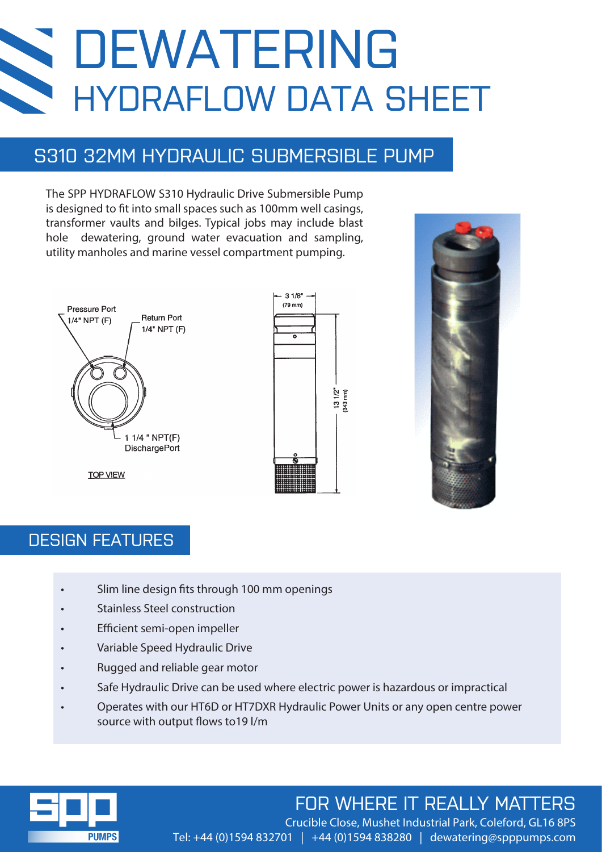# DEWATERING **SEC** HYDRAFLOW DATA SHEET

## S310 32MM HYDRAULIC SUBMERSIBLE PUMP

The SPP HYDRAFLOW S310 Hydraulic Drive Submersible Pump is designed to fit into small spaces such as 100mm well casings, transformer vaults and bilges. Typical jobs may include blast hole dewatering, ground water evacuation and sampling, utility manholes and marine vessel compartment pumping.







### DESIGN FEATURES

- Slim line design fits through 100 mm openings
- Stainless Steel construction
- **Efficient semi-open impeller**
- Variable Speed Hydraulic Drive
- Rugged and reliable gear motor
- Safe Hydraulic Drive can be used where electric power is hazardous or impractical
- Operates with our HT6D or HT7DXR Hydraulic Power Units or any open centre power source with output flows to 19 l/m



## FOR WHERE IT REALLY MATTERS

Crucible Close, Mushet Industrial Park, Coleford, GL16 8PS Tel: +44 (0)1594 832701 | +44 (0)1594 838280 | dewatering@spppumps.com